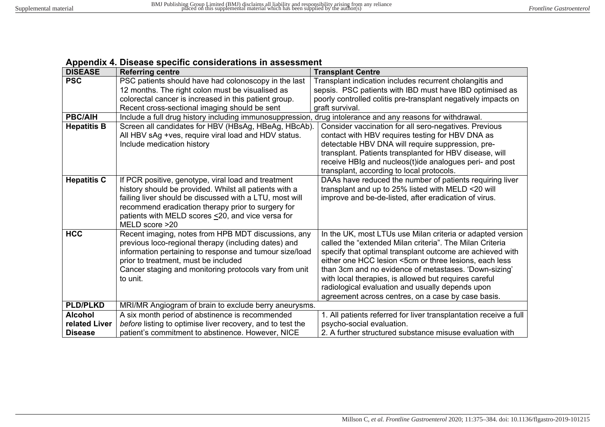| Appenaix +. Disease speeme considerations in assessment |                                                                                                              |                                                                   |
|---------------------------------------------------------|--------------------------------------------------------------------------------------------------------------|-------------------------------------------------------------------|
| <b>DISEASE</b>                                          | <b>Referring centre</b>                                                                                      | <b>Transplant Centre</b>                                          |
| <b>PSC</b>                                              | PSC patients should have had colonoscopy in the last                                                         | Transplant indication includes recurrent cholangitis and          |
|                                                         | 12 months. The right colon must be visualised as                                                             | sepsis. PSC patients with IBD must have IBD optimised as          |
|                                                         | colorectal cancer is increased in this patient group.                                                        | poorly controlled colitis pre-transplant negatively impacts on    |
|                                                         | Recent cross-sectional imaging should be sent                                                                | graft survival.                                                   |
| <b>PBC/AIH</b>                                          | Include a full drug history including immunosuppression,<br>drug intolerance and any reasons for withdrawal. |                                                                   |
| <b>Hepatitis B</b>                                      | Screen all candidates for HBV (HBsAg, HBeAg, HBcAb).                                                         | Consider vaccination for all sero-negatives. Previous             |
|                                                         | All HBV sAg +ves, require viral load and HDV status.                                                         | contact with HBV requires testing for HBV DNA as                  |
|                                                         | Include medication history                                                                                   | detectable HBV DNA will require suppression, pre-                 |
|                                                         |                                                                                                              | transplant. Patients transplanted for HBV disease, will           |
|                                                         |                                                                                                              | receive HBIg and nucleos(t)ide analogues peri- and post           |
|                                                         |                                                                                                              | transplant, according to local protocols.                         |
| <b>Hepatitis C</b>                                      | If PCR positive, genotype, viral load and treatment                                                          | DAAs have reduced the number of patients requiring liver          |
|                                                         | history should be provided. Whilst all patients with a                                                       | transplant and up to 25% listed with MELD <20 will                |
|                                                         | failing liver should be discussed with a LTU, most will                                                      | improve and be-de-listed, after eradication of virus.             |
|                                                         | recommend eradication therapy prior to surgery for                                                           |                                                                   |
|                                                         | patients with MELD scores <20, and vice versa for                                                            |                                                                   |
|                                                         | MELD score >20                                                                                               |                                                                   |
| <b>HCC</b>                                              | Recent imaging, notes from HPB MDT discussions, any                                                          | In the UK, most LTUs use Milan criteria or adapted version        |
|                                                         | previous loco-regional therapy (including dates) and                                                         | called the "extended Milan criteria". The Milan Criteria          |
|                                                         | information pertaining to response and tumour size/load                                                      | specify that optimal transplant outcome are achieved with         |
|                                                         | prior to treatment, must be included                                                                         | either one HCC lesion <5cm or three lesions, each less            |
|                                                         | Cancer staging and monitoring protocols vary from unit                                                       | than 3cm and no evidence of metastases. 'Down-sizing'             |
|                                                         | to unit.                                                                                                     | with local therapies, is allowed but requires careful             |
|                                                         |                                                                                                              | radiological evaluation and usually depends upon                  |
|                                                         |                                                                                                              | agreement across centres, on a case by case basis.                |
| <b>PLD/PLKD</b>                                         | MRI/MR Angiogram of brain to exclude berry aneurysms.                                                        |                                                                   |
| <b>Alcohol</b>                                          | A six month period of abstinence is recommended                                                              | 1. All patients referred for liver transplantation receive a full |
| related Liver                                           | before listing to optimise liver recovery, and to test the                                                   | psycho-social evaluation.                                         |
| <b>Disease</b>                                          | patient's commitment to abstinence. However, NICE                                                            | 2. A further structured substance misuse evaluation with          |

## **Appendix 4. Disease specific considerations in assessment**